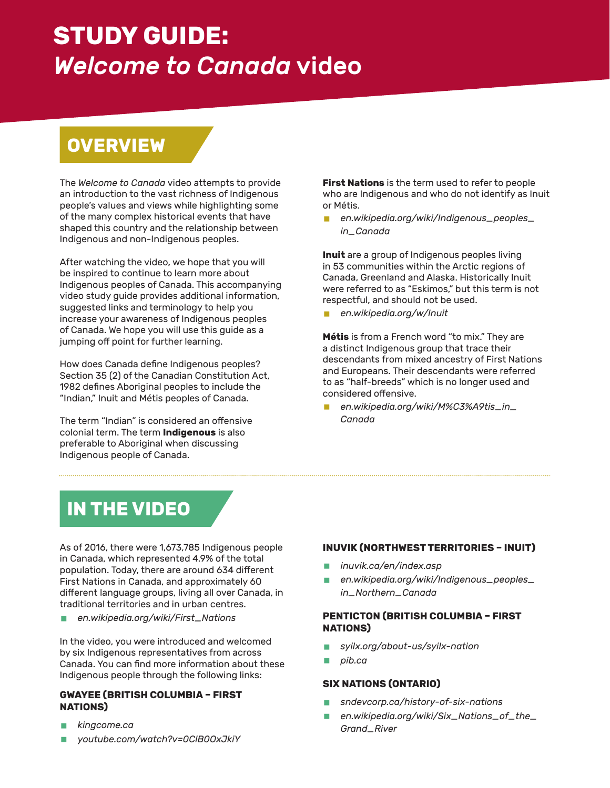# **STUDY GUIDE:** *Welcome to Canada* video

# **OVERVIEW**

The *Welcome to Canada* video attempts to provide an introduction to the vast richness of Indigenous people's values and views while highlighting some of the many complex historical events that have shaped this country and the relationship between Indigenous and non-Indigenous peoples.

After watching the video, we hope that you will be inspired to continue to learn more about Indigenous peoples of Canada. This accompanying video study guide provides additional information, suggested links and terminology to help you increase your awareness of Indigenous peoples of Canada. We hope you will use this guide as a jumping off point for further learning.

How does Canada define Indigenous peoples? Section 35 (2) of the Canadian Constitution Act, 1982 defines Aboriginal peoples to include the "Indian," Inuit and Métis peoples of Canada.

The term "Indian" is considered an offensive colonial term. The term **Indigenous** is also preferable to Aboriginal when discussing Indigenous people of Canada.

**First Nations** is the term used to refer to people who are Indigenous and who do not identify as Inuit or Métis.

§ *[en.wikipedia.org/wiki/Indigenous\\_peoples\\_](http://en.wikipedia.org/wiki/Indigenous_peoples_in_Canada) [in\\_Canada](http://en.wikipedia.org/wiki/Indigenous_peoples_in_Canada)*

**Inuit** are a group of Indigenous peoples living in 53 communities within the Arctic regions of Canada, Greenland and Alaska. Historically Inuit were referred to as "Eskimos," but this term is not respectful, and should not be used.

§ *[en.wikipedia.org/w/Inuit](http://en.wikipedia.org/wiki/Inuit)*

**Métis** is from a French word "to mix." They are a distinct Indigenous group that trace their descendants from mixed ancestry of First Nations and Europeans. Their descendants were referred to as "half-breeds" which is no longer used and considered offensive.

§ *[en.wikipedia.org/wiki/M%C3%A9tis\\_in\\_](http://en.wikipedia.org/wiki/M%C3%A9tis_in_Canada) [Canada](http://en.wikipedia.org/wiki/M%C3%A9tis_in_Canada)*

# **IN THE VIDEO**

As of 2016, there were 1,673,785 Indigenous people in Canada, which represented 4.9% of the total population. Today, there are around 634 different First Nations in Canada, and approximately 60 different language groups, living all over Canada, in traditional territories and in urban centres.

§ *[en.wikipedia.org/wiki/First\\_Nations](http://en.wikipedia.org/wiki/First_Nations)*

In the video, you were introduced and welcomed by six Indigenous representatives from across Canada. You can find more information about these Indigenous people through the following links:

### **GWAYEE (BRITISH COLUMBIA – FIRST NATIONS)**

- § *[kingcome.ca](http://kingcome.ca)*
- § *[youtube.com/watch?v=0ClB0OxJkiY](http://youtube.com/watch?v=0ClB0OxJkiY)*

# **INUVIK (NORTHWEST TERRITORIES – INUIT)**

- § *[inuvik.ca/en/index.asp](http://www.inuvik.ca/en/index.asp)*
- § *[en.wikipedia.org/wiki/Indigenous\\_peoples\\_](http://en.wikipedia.org/wiki/Indigenous_peoples_in_Northern_Canada) [in\\_Northern\\_Canada](http://en.wikipedia.org/wiki/Indigenous_peoples_in_Northern_Canada)*

## **PENTICTON (BRITISH COLUMBIA – FIRST NATIONS)**

- § *[syilx.org/about-us/syilx-nation](http://syilx.org/about-us/syilx-nation)*
- § *[pib.ca](http://pib.ca)*

## **SIX NATIONS (ONTARIO)**

- § *[sndevcorp.ca/history-of-six-nations](http://sndevcorp.ca/history-of-six-nations)*
- § *[en.wikipedia.org/wiki/Six\\_Nations\\_of\\_the\\_](http://en.wikipedia.org/wiki/Six_Nations_of_the_Grand_River) [Grand\\_River](http://en.wikipedia.org/wiki/Six_Nations_of_the_Grand_River)*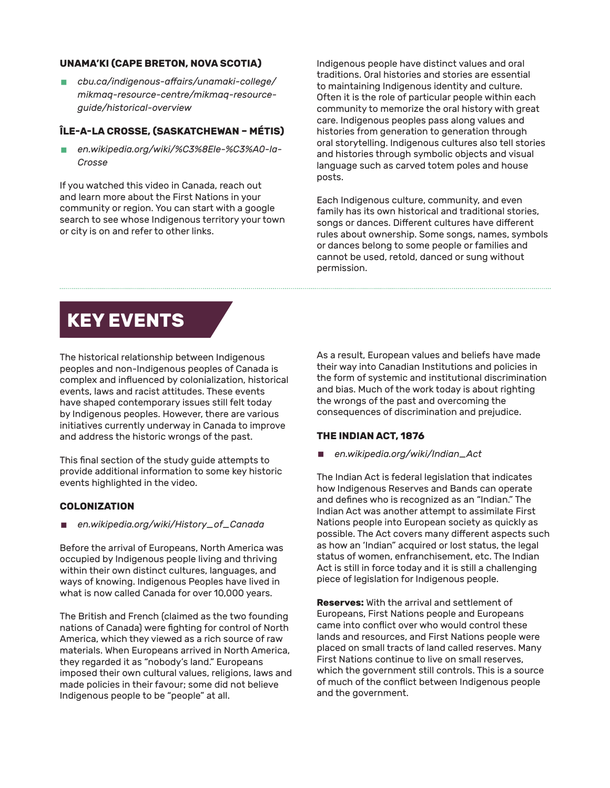### **UNAMA'KI (CAPE BRETON, NOVA SCOTIA)**

§ *[cbu.ca/indigenous-affairs/unamaki-college/](http://cbu.ca/indigenous-affairs/unamaki-college/mikmaq-resource-centre/mikmaq-resource-guide/historical-overview) [mikmaq-resource-centre/mikmaq-resource](http://cbu.ca/indigenous-affairs/unamaki-college/mikmaq-resource-centre/mikmaq-resource-guide/historical-overview)[guide/historical-overview](http://cbu.ca/indigenous-affairs/unamaki-college/mikmaq-resource-centre/mikmaq-resource-guide/historical-overview)*

## **ÎLE-A-LA CROSSE, (SASKATCHEWAN – MÉTIS)**

§ *[en.wikipedia.org/wiki/%C3%8Ele-%C3%A0-la-](http://en.wikipedia.org/wiki/%C3%8Ele-%C3%A0-la-Crosse)[Crosse](http://en.wikipedia.org/wiki/%C3%8Ele-%C3%A0-la-Crosse)*

If you watched this video in Canada, reach out and learn more about the First Nations in your community or region. You can start with a google search to see whose Indigenous territory your town or city is on and refer to other links.

Indigenous people have distinct values and oral traditions. Oral histories and stories are essential to maintaining Indigenous identity and culture. Often it is the role of particular people within each community to memorize the oral history with great care. Indigenous peoples pass along values and histories from generation to generation through oral storytelling. Indigenous cultures also tell stories and histories through symbolic objects and visual language such as carved totem poles and house posts.

Each Indigenous culture, community, and even family has its own historical and traditional stories, songs or dances. Different cultures have different rules about ownership. Some songs, names, symbols or dances belong to some people or families and cannot be used, retold, danced or sung without permission.

# **KEY EVENTS**

The historical relationship between Indigenous peoples and non-Indigenous peoples of Canada is complex and influenced by colonialization, historical events, laws and racist attitudes. These events have shaped contemporary issues still felt today by Indigenous peoples. However, there are various initiatives currently underway in Canada to improve and address the historic wrongs of the past.

This final section of the study guide attempts to provide additional information to some key historic events highlighted in the video.

#### **COLONIZATION**

§ *[en.wikipedia.org/wiki/History\\_of\\_Canada](http://en.wikipedia.org/wiki/History_of_Canada)*

Before the arrival of Europeans, North America was occupied by Indigenous people living and thriving within their own distinct cultures, languages, and ways of knowing. Indigenous Peoples have lived in what is now called Canada for over 10,000 years.

The British and French (claimed as the two founding nations of Canada) were fighting for control of North America, which they viewed as a rich source of raw materials. When Europeans arrived in North America, they regarded it as "nobody's land." Europeans imposed their own cultural values, religions, laws and made policies in their favour; some did not believe Indigenous people to be "people" at all.

As a result, European values and beliefs have made their way into Canadian Institutions and policies in the form of systemic and institutional discrimination and bias. Much of the work today is about righting the wrongs of the past and overcoming the consequences of discrimination and prejudice.

#### **THE INDIAN ACT, 1876**

§ *[en.wikipedia.org/wiki/Indian\\_Act](http://en.wikipedia.org/wiki/Indian_Act)*

The Indian Act is federal legislation that indicates how Indigenous Reserves and Bands can operate and defines who is recognized as an "Indian." The Indian Act was another attempt to assimilate First Nations people into European society as quickly as possible. The Act covers many different aspects such as how an 'Indian" acquired or lost status, the legal status of women, enfranchisement, etc. The Indian Act is still in force today and it is still a challenging piece of legislation for Indigenous people.

**Reserves:** With the arrival and settlement of Europeans, First Nations people and Europeans came into conflict over who would control these lands and resources, and First Nations people were placed on small tracts of land called reserves. Many First Nations continue to live on small reserves, which the government still controls. This is a source of much of the conflict between Indigenous people and the government.